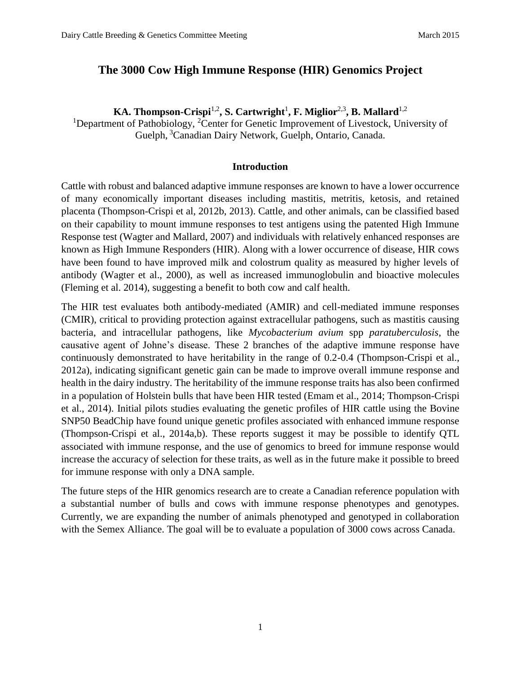# **The 3000 Cow High Immune Response (HIR) Genomics Project**

**KA. Thompson-Crispi**1,2 **, S. Cartwright**<sup>1</sup> **, F. Miglior**2,3 **, B. Mallard**1,2

<sup>1</sup>Department of Pathobiology, <sup>2</sup>Center for Genetic Improvement of Livestock, University of Guelph, <sup>3</sup>Canadian Dairy Network, Guelph, Ontario, Canada.

# **Introduction**

Cattle with robust and balanced adaptive immune responses are known to have a lower occurrence of many economically important diseases including mastitis, metritis, ketosis, and retained placenta (Thompson-Crispi et al, 2012b, 2013). Cattle, and other animals, can be classified based on their capability to mount immune responses to test antigens using the patented High Immune Response test (Wagter and Mallard, 2007) and individuals with relatively enhanced responses are known as High Immune Responders (HIR). Along with a lower occurrence of disease, HIR cows have been found to have improved milk and colostrum quality as measured by higher levels of antibody (Wagter et al., 2000), as well as increased immunoglobulin and bioactive molecules (Fleming et al. 2014), suggesting a benefit to both cow and calf health.

The HIR test evaluates both antibody-mediated (AMIR) and cell-mediated immune responses (CMIR), critical to providing protection against extracellular pathogens, such as mastitis causing bacteria, and intracellular pathogens, like *Mycobacterium avium* spp *paratuberculosis*, the causative agent of Johne's disease. These 2 branches of the adaptive immune response have continuously demonstrated to have heritability in the range of 0.2-0.4 (Thompson-Crispi et al., 2012a), indicating significant genetic gain can be made to improve overall immune response and health in the dairy industry. The heritability of the immune response traits has also been confirmed in a population of Holstein bulls that have been HIR tested (Emam et al., 2014; Thompson-Crispi et al., 2014). Initial pilots studies evaluating the genetic profiles of HIR cattle using the Bovine SNP50 BeadChip have found unique genetic profiles associated with enhanced immune response (Thompson-Crispi et al., 2014a,b). These reports suggest it may be possible to identify QTL associated with immune response, and the use of genomics to breed for immune response would increase the accuracy of selection for these traits, as well as in the future make it possible to breed for immune response with only a DNA sample.

The future steps of the HIR genomics research are to create a Canadian reference population with a substantial number of bulls and cows with immune response phenotypes and genotypes. Currently, we are expanding the number of animals phenotyped and genotyped in collaboration with the Semex Alliance. The goal will be to evaluate a population of 3000 cows across Canada.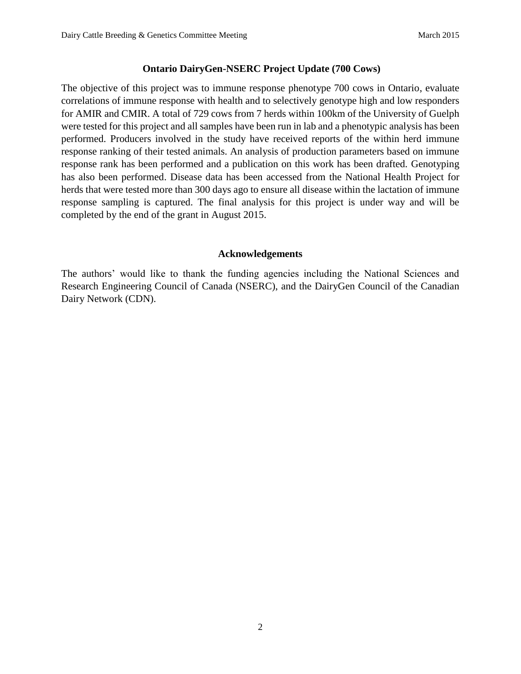# **Ontario DairyGen-NSERC Project Update (700 Cows)**

The objective of this project was to immune response phenotype 700 cows in Ontario, evaluate correlations of immune response with health and to selectively genotype high and low responders for AMIR and CMIR. A total of 729 cows from 7 herds within 100km of the University of Guelph were tested for this project and all samples have been run in lab and a phenotypic analysis has been performed. Producers involved in the study have received reports of the within herd immune response ranking of their tested animals. An analysis of production parameters based on immune response rank has been performed and a publication on this work has been drafted. Genotyping has also been performed. Disease data has been accessed from the National Health Project for herds that were tested more than 300 days ago to ensure all disease within the lactation of immune response sampling is captured. The final analysis for this project is under way and will be completed by the end of the grant in August 2015.

#### **Acknowledgements**

The authors' would like to thank the funding agencies including the National Sciences and Research Engineering Council of Canada (NSERC), and the DairyGen Council of the Canadian Dairy Network (CDN).